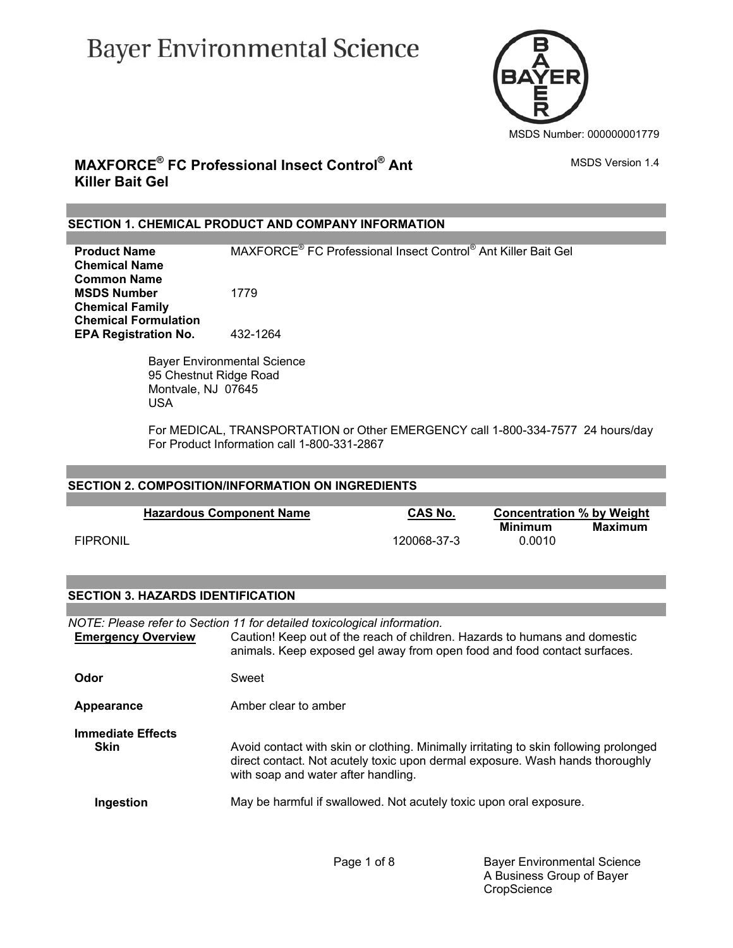# **Bayer Environmental Science**



### **MAXFORCE® FC Professional Insect Control® Ant Killer Bait Gel**

### **SECTION 1. CHEMICAL PRODUCT AND COMPANY INFORMATION**

**Product Name**  FC Professional Insect Control® Ant Killer Bait Gel **Chemical Name Common Name MSDS Number** 1779 **Chemical Family Chemical Formulation EPA Registration No.** 432-1264

> Bayer Environmental Science 95 Chestnut Ridge Road Montvale, NJ 07645 USA

 For MEDICAL, TRANSPORTATION or Other EMERGENCY call 1-800-334-7577 24 hours/day For Product Information call 1-800-331-2867

### **SECTION 2. COMPOSITION/INFORMATION ON INGREDIENTS**

|                 | <b>Hazardous Component Name</b> | CAS No.     | <b>Concentration % by Weight</b> |         |
|-----------------|---------------------------------|-------------|----------------------------------|---------|
| <b>FIPRONIL</b> |                                 | 120068-37-3 | Minimum<br>0.0010                | Maximum |

### **SECTION 3. HAZARDS IDENTIFICATION**

*NOTE: Please refer to Section 11 for detailed toxicological information.* **Emergency Overview** Caution! Keep out of the reach of children. Hazards to humans and domestic animals. Keep exposed gel away from open food and food contact surfaces. **Odor** Sweet **Appearance** Amber clear to amber **Immediate Effects Skin** Avoid contact with skin or clothing. Minimally irritating to skin following prolonged direct contact. Not acutely toxic upon dermal exposure. Wash hands thoroughly with soap and water after handling. **Ingestion** May be harmful if swallowed. Not acutely toxic upon oral exposure.

MSDS Version 1.4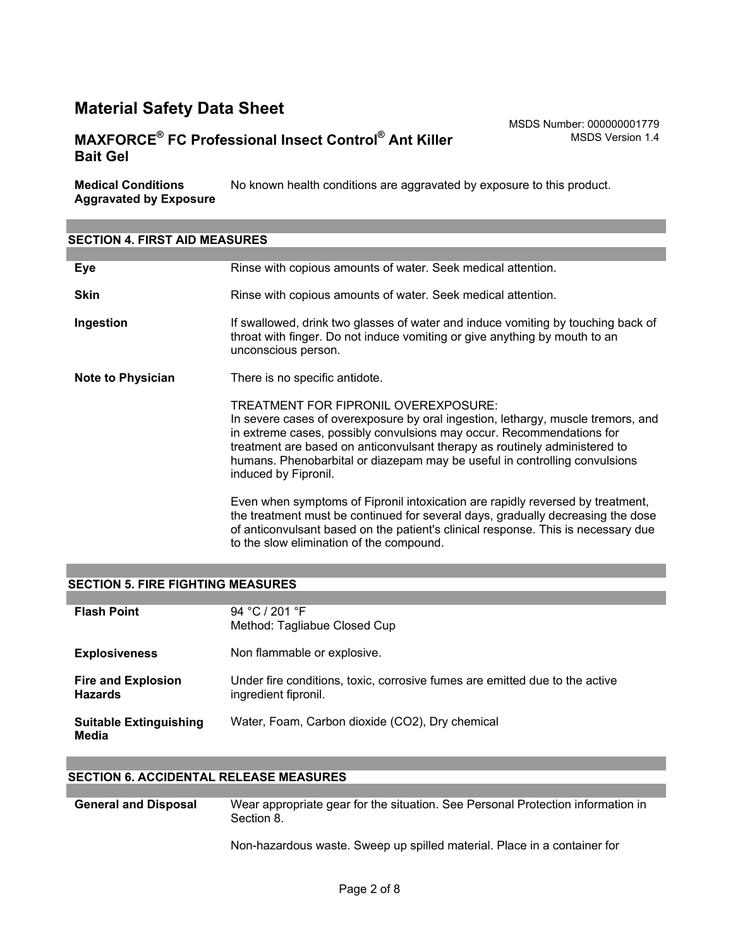### **MAXFORCE® FC Professional Insect Control® Ant Killer Bait Gel**

MSDS Number: 000000001779 MSDS Version 1.4

**Medical Conditions Aggravated by Exposure** No known health conditions are aggravated by exposure to this product.

### **SECTION 4. FIRST AID MEASURES Eye Rinse with copious amounts of water. Seek medical attention. Skin** Rinse with copious amounts of water. Seek medical attention. **Ingestion** If swallowed, drink two glasses of water and induce vomiting by touching back of throat with finger. Do not induce vomiting or give anything by mouth to an unconscious person. **Note to Physician** There is no specific antidote. TREATMENT FOR FIPRONIL OVEREXPOSURE: In severe cases of overexposure by oral ingestion, lethargy, muscle tremors, and in extreme cases, possibly convulsions may occur. Recommendations for treatment are based on anticonvulsant therapy as routinely administered to humans. Phenobarbital or diazepam may be useful in controlling convulsions induced by Fipronil. Even when symptoms of Fipronil intoxication are rapidly reversed by treatment, the treatment must be continued for several days, gradually decreasing the dose of anticonvulsant based on the patient's clinical response. This is necessary due to the slow elimination of the compound.

#### **SECTION 5. FIRE FIGHTING MEASURES**

| <b>Flash Point</b>                          | 94 °C / 201 °F<br>Method: Tagliabue Closed Cup                                                      |
|---------------------------------------------|-----------------------------------------------------------------------------------------------------|
| <b>Explosiveness</b>                        | Non flammable or explosive.                                                                         |
| <b>Fire and Explosion</b><br><b>Hazards</b> | Under fire conditions, toxic, corrosive fumes are emitted due to the active<br>ingredient fipronil. |
| <b>Suitable Extinguishing</b><br>Media      | Water, Foam, Carbon dioxide (CO2), Dry chemical                                                     |

#### **SECTION 6. ACCIDENTAL RELEASE MEASURES**

**General and Disposal** Wear appropriate gear for the situation. See Personal Protection information in Section 8.

Non-hazardous waste. Sweep up spilled material. Place in a container for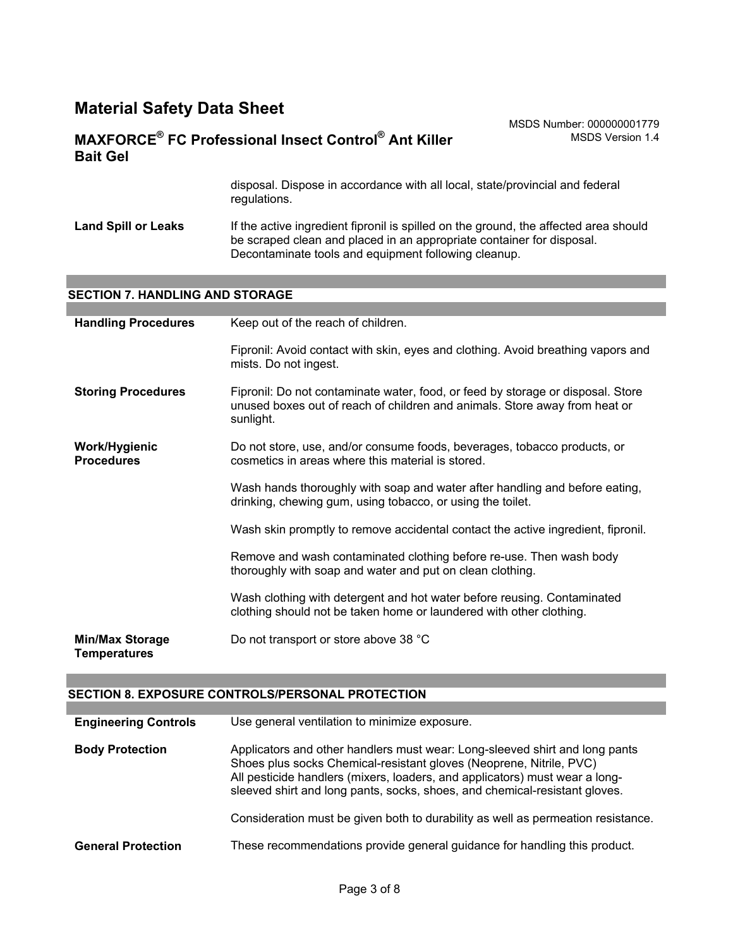### **MAXFORCE® FC Professional Insect Control® Ant Killer Bait Gel**

MSDS Number: 000000001779 MSDS Version 1.4

disposal. Dispose in accordance with all local, state/provincial and federal regulations.

Land Spill or Leaks If the active ingredient fipronil is spilled on the ground, the affected area should be scraped clean and placed in an appropriate container for disposal. Decontaminate tools and equipment following cleanup.

#### **SECTION 7. HANDLING AND STORAGE**

| <b>Handling Procedures</b>                    | Keep out of the reach of children.                                                                                                                                         |  |  |
|-----------------------------------------------|----------------------------------------------------------------------------------------------------------------------------------------------------------------------------|--|--|
|                                               | Fipronil: Avoid contact with skin, eyes and clothing. Avoid breathing vapors and<br>mists. Do not ingest.                                                                  |  |  |
| <b>Storing Procedures</b>                     | Fipronil: Do not contaminate water, food, or feed by storage or disposal. Store<br>unused boxes out of reach of children and animals. Store away from heat or<br>sunlight. |  |  |
| <b>Work/Hygienic</b><br><b>Procedures</b>     | Do not store, use, and/or consume foods, beverages, tobacco products, or<br>cosmetics in areas where this material is stored.                                              |  |  |
|                                               | Wash hands thoroughly with soap and water after handling and before eating,<br>drinking, chewing gum, using tobacco, or using the toilet.                                  |  |  |
|                                               | Wash skin promptly to remove accidental contact the active ingredient, fipronil.                                                                                           |  |  |
|                                               | Remove and wash contaminated clothing before re-use. Then wash body<br>thoroughly with soap and water and put on clean clothing.                                           |  |  |
|                                               | Wash clothing with detergent and hot water before reusing. Contaminated<br>clothing should not be taken home or laundered with other clothing.                             |  |  |
| <b>Min/Max Storage</b><br><b>Temperatures</b> | Do not transport or store above 38 °C                                                                                                                                      |  |  |

### **SECTION 8. EXPOSURE CONTROLS/PERSONAL PROTECTION**

| <b>Engineering Controls</b> | Use general ventilation to minimize exposure.                                                                                                                                                                                                                                                                   |
|-----------------------------|-----------------------------------------------------------------------------------------------------------------------------------------------------------------------------------------------------------------------------------------------------------------------------------------------------------------|
| <b>Body Protection</b>      | Applicators and other handlers must wear: Long-sleeved shirt and long pants<br>Shoes plus socks Chemical-resistant gloves (Neoprene, Nitrile, PVC)<br>All pesticide handlers (mixers, loaders, and applicators) must wear a long-<br>sleeved shirt and long pants, socks, shoes, and chemical-resistant gloves. |
|                             | Consideration must be given both to durability as well as permeation resistance.                                                                                                                                                                                                                                |
| <b>General Protection</b>   | These recommendations provide general guidance for handling this product.                                                                                                                                                                                                                                       |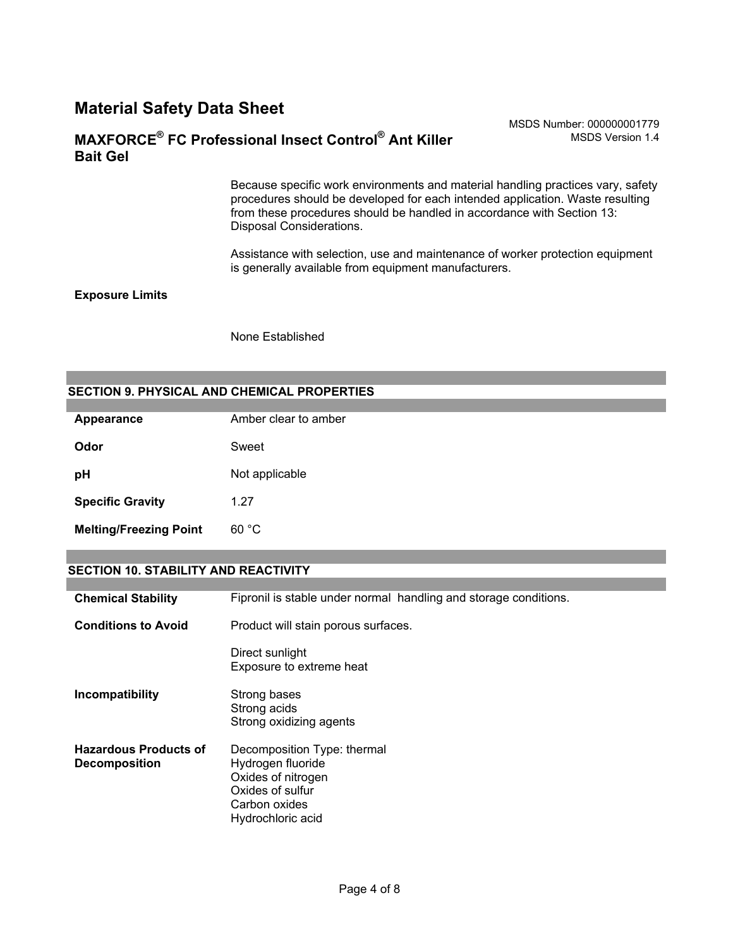#### MSDS Number: 000000001779 MSDS Version 1.4

### **MAXFORCE® FC Professional Insect Control® Ant Killer Bait Gel**

Because specific work environments and material handling practices vary, safety procedures should be developed for each intended application. Waste resulting from these procedures should be handled in accordance with Section 13: Disposal Considerations.

Assistance with selection, use and maintenance of worker protection equipment is generally available from equipment manufacturers.

#### **Exposure Limits**

None Established

### **SECTION 9. PHYSICAL AND CHEMICAL PROPERTIES**

| Appearance                    | Amber clear to amber |  |  |
|-------------------------------|----------------------|--|--|
| Odor                          | Sweet                |  |  |
| рH                            | Not applicable       |  |  |
| <b>Specific Gravity</b>       | 1.27                 |  |  |
| <b>Melting/Freezing Point</b> | 60 °C                |  |  |

### **SECTION 10. STABILITY AND REACTIVITY**

| <b>Chemical Stability</b>                            | Fipronil is stable under normal handling and storage conditions.                                                                 |  |  |
|------------------------------------------------------|----------------------------------------------------------------------------------------------------------------------------------|--|--|
| <b>Conditions to Avoid</b>                           | Product will stain porous surfaces.                                                                                              |  |  |
|                                                      | Direct sunlight<br>Exposure to extreme heat                                                                                      |  |  |
| Incompatibility                                      | Strong bases<br>Strong acids<br>Strong oxidizing agents                                                                          |  |  |
| <b>Hazardous Products of</b><br><b>Decomposition</b> | Decomposition Type: thermal<br>Hydrogen fluoride<br>Oxides of nitrogen<br>Oxides of sulfur<br>Carbon oxides<br>Hydrochloric acid |  |  |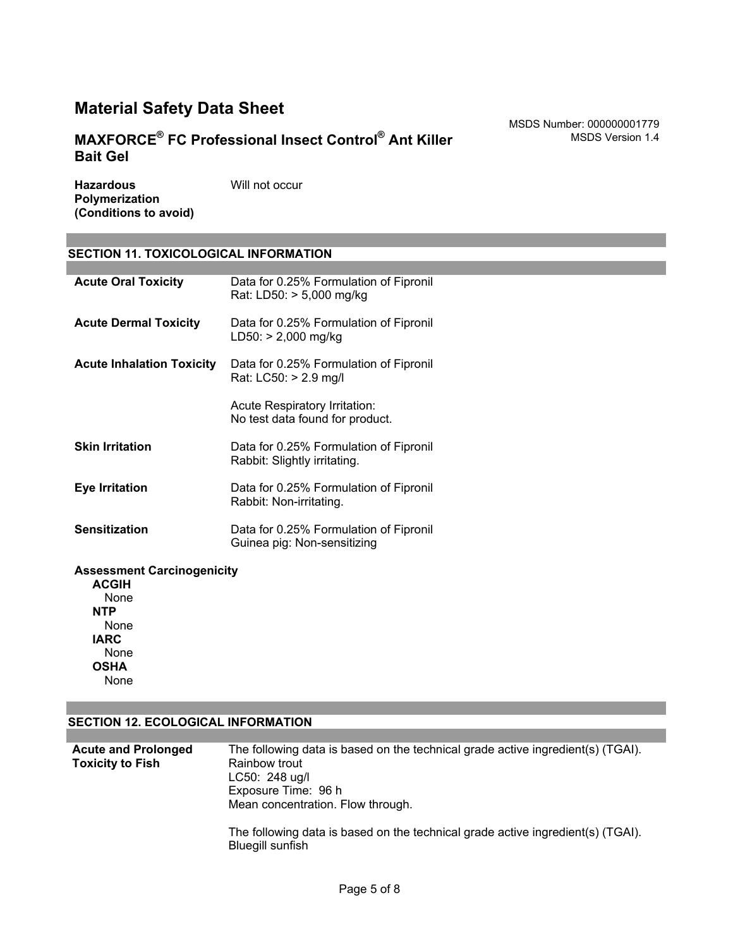### **MAXFORCE® FC Professional Insect Control® Ant Killer Bait Gel**

**Hazardous Polymerization (Conditions to avoid)** Will not occur

### **SECTION 11. TOXICOLOGICAL INFORMATION**

| <b>Acute Oral Toxicity</b>       | Data for 0.25% Formulation of Fipronil<br>Rat: LD50: > 5,000 mg/kg     |
|----------------------------------|------------------------------------------------------------------------|
| <b>Acute Dermal Toxicity</b>     | Data for 0.25% Formulation of Fipronil<br>$LD50:$ > 2,000 mg/kg        |
| <b>Acute Inhalation Toxicity</b> | Data for 0.25% Formulation of Fipronil<br>Rat: LC50: > 2.9 mg/l        |
|                                  | Acute Respiratory Irritation:<br>No test data found for product.       |
| <b>Skin Irritation</b>           | Data for 0.25% Formulation of Fipronil<br>Rabbit: Slightly irritating. |
| Eye Irritation                   | Data for 0.25% Formulation of Fipronil<br>Rabbit: Non-irritating.      |
| <b>Sensitization</b>             | Data for 0.25% Formulation of Fipronil<br>Guinea pig: Non-sensitizing  |
|                                  |                                                                        |

### **Assessment Carcinogenicity**

**ACGIH** None **NTP** None **IARC** None **OSHA** None

#### **SECTION 12. ECOLOGICAL INFORMATION**

| <b>Acute and Prolonged</b> | The following data is based on the technical grade active ingredient(s) (TGAI). |  |  |  |
|----------------------------|---------------------------------------------------------------------------------|--|--|--|
| <b>Toxicity to Fish</b>    | Rainbow trout                                                                   |  |  |  |
|                            | $LC50: 248$ ug/l                                                                |  |  |  |
|                            | Exposure Time: 96 h                                                             |  |  |  |
|                            | Mean concentration. Flow through.                                               |  |  |  |
|                            | The following data is based on the technical grade active ingredient(s) (TGAI). |  |  |  |

Bluegill sunfish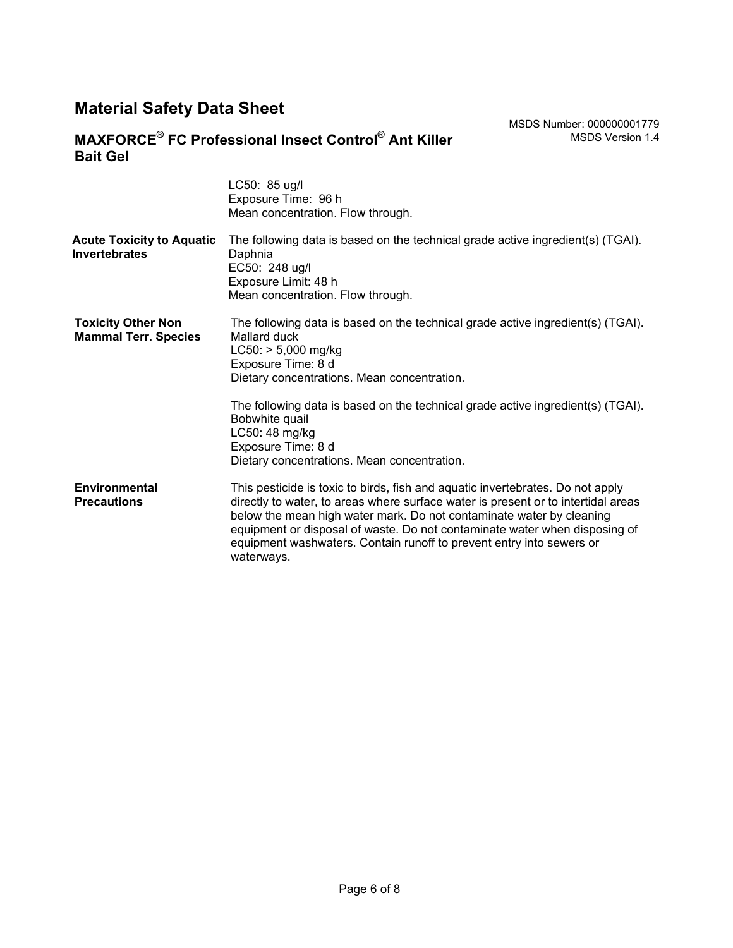### **MAXFORCE® FC Professional Insect Control® Ant Killer Bait Gel**

|                                                          | LC50: 85 ug/l<br>Exposure Time: 96 h<br>Mean concentration. Flow through.                                                                                                                                                                                                                                                                                                                                       |  |
|----------------------------------------------------------|-----------------------------------------------------------------------------------------------------------------------------------------------------------------------------------------------------------------------------------------------------------------------------------------------------------------------------------------------------------------------------------------------------------------|--|
| <b>Acute Toxicity to Aquatic</b><br><b>Invertebrates</b> | The following data is based on the technical grade active ingredient(s) (TGAI).<br>Daphnia<br>EC50: 248 ug/l<br>Exposure Limit: 48 h<br>Mean concentration. Flow through.                                                                                                                                                                                                                                       |  |
| <b>Toxicity Other Non</b><br><b>Mammal Terr. Species</b> | The following data is based on the technical grade active ingredient(s) (TGAI).<br>Mallard duck<br>$LC50:$ > 5,000 mg/kg<br>Exposure Time: 8 d<br>Dietary concentrations. Mean concentration.                                                                                                                                                                                                                   |  |
|                                                          | The following data is based on the technical grade active ingredient(s) (TGAI).<br>Bobwhite quail<br>LC50: 48 mg/kg<br>Exposure Time: 8 d<br>Dietary concentrations. Mean concentration.                                                                                                                                                                                                                        |  |
| Environmental<br><b>Precautions</b>                      | This pesticide is toxic to birds, fish and aquatic invertebrates. Do not apply<br>directly to water, to areas where surface water is present or to intertidal areas<br>below the mean high water mark. Do not contaminate water by cleaning<br>equipment or disposal of waste. Do not contaminate water when disposing of<br>equipment washwaters. Contain runoff to prevent entry into sewers or<br>waterways. |  |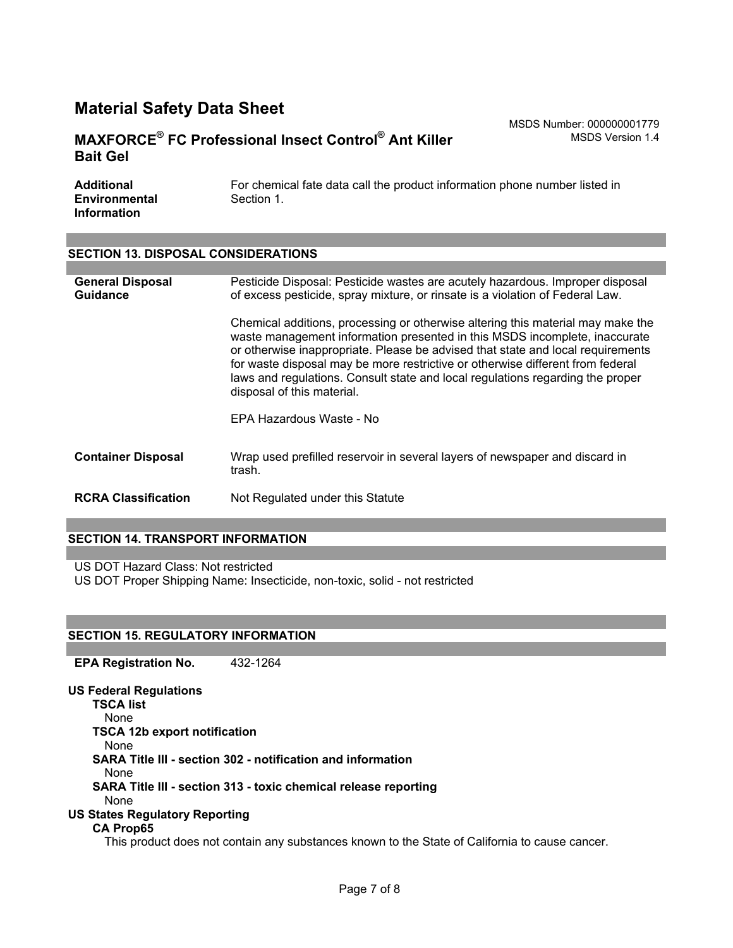### **MAXFORCE® FC Professional Insect Control® Ant Killer Bait Gel**

MSDS Number: 000000001779 MSDS Version 1.4

| Additional           | For chemical fate data call the product information phone number listed in |
|----------------------|----------------------------------------------------------------------------|
| <b>Environmental</b> | Section 1.                                                                 |
| <b>Information</b>   |                                                                            |

### **SECTION 13. DISPOSAL CONSIDERATIONS**

| <b>General Disposal</b><br><b>Guidance</b> | Pesticide Disposal: Pesticide wastes are acutely hazardous. Improper disposal<br>of excess pesticide, spray mixture, or rinsate is a violation of Federal Law.                                                                                                                                                                                                                                                                                     |  |  |
|--------------------------------------------|----------------------------------------------------------------------------------------------------------------------------------------------------------------------------------------------------------------------------------------------------------------------------------------------------------------------------------------------------------------------------------------------------------------------------------------------------|--|--|
|                                            | Chemical additions, processing or otherwise altering this material may make the<br>waste management information presented in this MSDS incomplete, inaccurate<br>or otherwise inappropriate. Please be advised that state and local requirements<br>for waste disposal may be more restrictive or otherwise different from federal<br>laws and regulations. Consult state and local regulations regarding the proper<br>disposal of this material. |  |  |
|                                            | EPA Hazardous Waste - No                                                                                                                                                                                                                                                                                                                                                                                                                           |  |  |
| <b>Container Disposal</b>                  | Wrap used prefilled reservoir in several layers of newspaper and discard in<br>trash.                                                                                                                                                                                                                                                                                                                                                              |  |  |
| <b>RCRA Classification</b>                 | Not Regulated under this Statute                                                                                                                                                                                                                                                                                                                                                                                                                   |  |  |

#### **SECTION 14. TRANSPORT INFORMATION**

US DOT Hazard Class: Not restricted

US DOT Proper Shipping Name: Insecticide, non-toxic, solid - not restricted

### **SECTION 15. REGULATORY INFORMATION**

**EPA Registration No.** 432-1264

**US Federal Regulations TSCA list** None **TSCA 12b export notification** None **SARA Title III - section 302 - notification and information** None **SARA Title III - section 313 - toxic chemical release reporting** None **US States Regulatory Reporting CA Prop65** This product does not contain any substances known to the State of California to cause cancer.